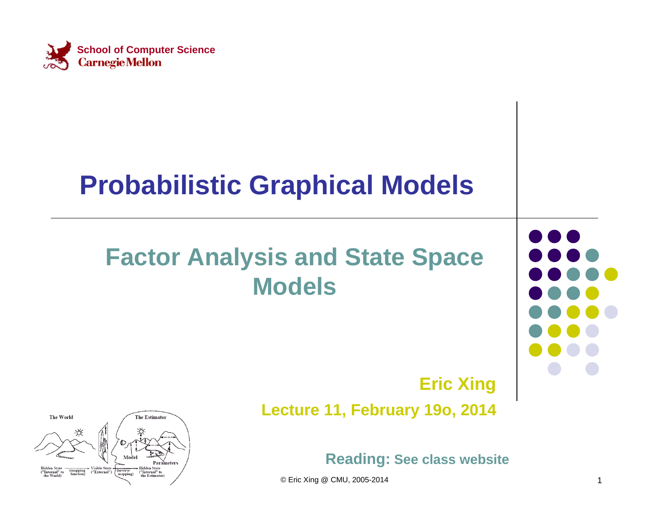

### **Probabilistic Graphical Models**

### **Factor Analysis and State Space Models**



### **Eric Xing**

**Lecture 11, February 19o, 2014**



© Eric Xing @ CMU, 2005-2014 1

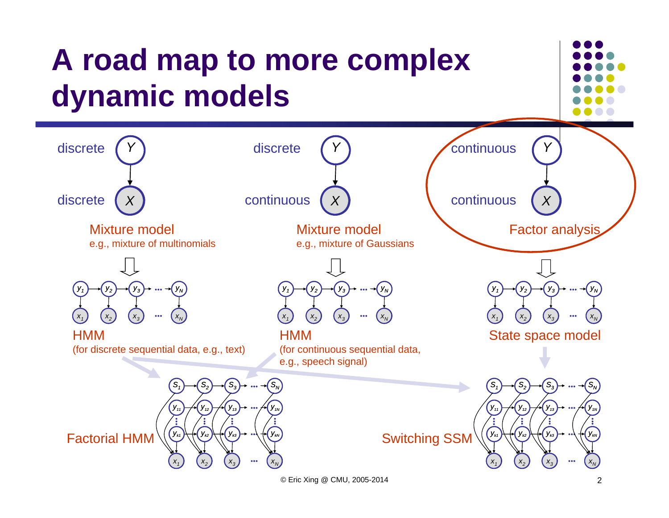

© Eric Xing @ CMU, 2005-2014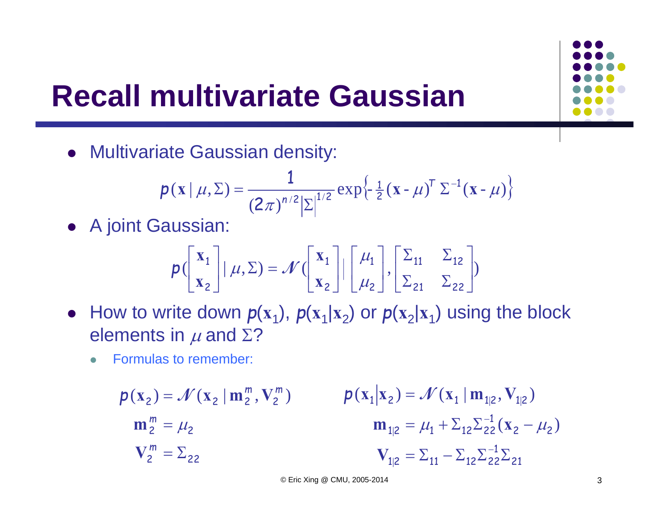# **Recall multivariate Gaussian**

Multivariate Gaussian density:

$$
p(\mathbf{x} | \mu, \Sigma) = \frac{1}{(2\pi)^{n/2} |\Sigma|^{1/2}} \exp\left\{-\frac{1}{2}(\mathbf{x} - \mu)^T \Sigma^{-1}(\mathbf{x} - \mu)\right\}
$$

A joint Gaussian:

$$
p\left(\begin{bmatrix} \mathbf{x}_1 \\ \mathbf{x}_2 \end{bmatrix} | \mu, \Sigma\right) = \mathcal{N}\left(\begin{bmatrix} \mathbf{x}_1 \\ \mathbf{x}_2 \end{bmatrix} | \begin{bmatrix} \mu_1 \\ \mu_2 \end{bmatrix}, \begin{bmatrix} \Sigma_{11} & \Sigma_{12} \\ \Sigma_{21} & \Sigma_{22} \end{bmatrix}\right)
$$

- How to write down  $p(x_1)$ ,  $p(x_1|x_2)$  or  $p(x_2|x_1)$  using the block elements in  $\mu$  and  $\Sigma ?$ 
	- $\bullet$ Formulas to remember:

$$
p(\mathbf{x}_2) = \mathcal{N}(\mathbf{x}_2 | \mathbf{m}_2^m, \mathbf{V}_2^m) \qquad p(\mathbf{x}_1 | \mathbf{x}_2) = \mathcal{N}(\mathbf{x}_1 | \mathbf{m}_{1|2}, \mathbf{V}_{1|2})
$$
  
\n
$$
\mathbf{m}_2^m = \mu_2 \qquad \mathbf{m}_{1|2} = \mu_1 + \sum_{12} \sum_{22}^{-1} (\mathbf{x}_2 - \mu_2)
$$
  
\n
$$
\mathbf{V}_2^m = \sum_{22} \qquad \mathbf{V}_{1|2} = \sum_{11}^{-1} -\sum_{12} \sum_{22}^{-1} \sum_{21}^{-1}
$$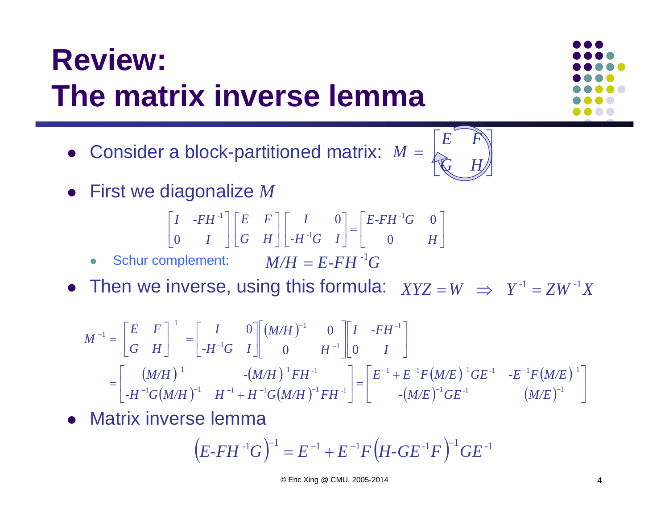# **Review: The matrix inverse lemma**

- Consider a block-partitioned matrix:  $M = \begin{bmatrix} E & F \ \bigotimes & H \end{bmatrix}$
- First we diagonalize *<sup>M</sup>*

$$
\begin{bmatrix} I & -FH^{-1} \\ 0 & I \end{bmatrix} \begin{bmatrix} E & F \\ G & H \end{bmatrix} \begin{bmatrix} I & 0 \\ -H^{-1}G & I \end{bmatrix} = \begin{bmatrix} E-FH^{-1}G & 0 \\ 0 & H \end{bmatrix}
$$

 $\bullet$  $\bullet$  Schur complement:  $M/H = E\text{-}FH^{-1}G$ 

• Then we inverse, using this formula:  $XYZ = W \implies Y^{-1} = ZW^{-1}X$ 

$$
M^{-1} = \begin{bmatrix} E & F \\ G & H \end{bmatrix}^{-1} = \begin{bmatrix} I & 0 \\ -H^{-1}G & I \end{bmatrix} \begin{bmatrix} (M/H)^{-1} & 0 \\ 0 & H^{-1} \end{bmatrix} \begin{bmatrix} I & -FH^{-1} \\ 0 & I \end{bmatrix}
$$

$$
= \begin{bmatrix} (M/H)^{-1} & -(M/H)^{-1}FH^{-1} \\ -H^{-1}G(M/H)^{-1} & H^{-1}+H^{-1}G(M/H)^{-1}FH^{-1} \end{bmatrix} = \begin{bmatrix} E^{-1} + E^{-1}F(M/E)^{-1}GE^{-1} & -E^{-1}F(M/E)^{-1} \\ -((M/E)^{-1}GE^{-1} & (M/E)^{-1} \end{bmatrix}
$$

Matrix inverse lemma

$$
(E-FH^{-1}G)^{-1} = E^{-1} + E^{-1}F(H-GE^{-1}F)^{-1}GE^{-1}
$$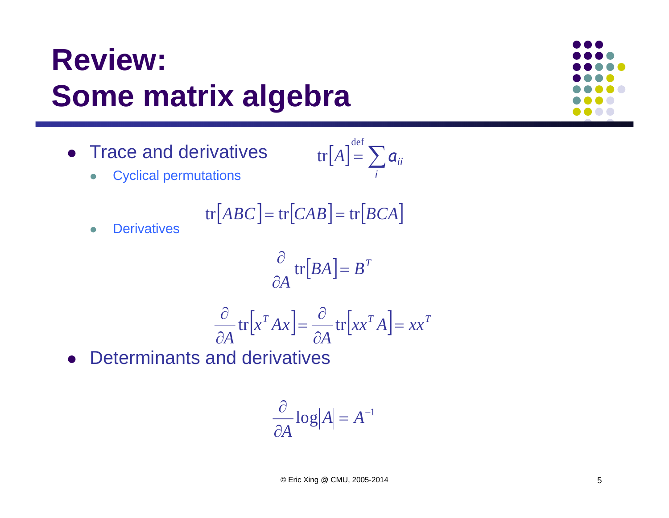# **Review: Some matrix algebra**

• Trace and derivatives

$$
\mathrm{tr}\big[A\big] \stackrel{\mathrm{def}}{=} \sum_i \mathbf{a}_{ii}
$$

 $\bullet$ Cyclical permutations

$$
\text{tr}[ABC] = \text{tr}[CAB] = \text{tr}[BCA]
$$

 $\bullet$ **Derivatives** 

$$
\frac{\partial}{\partial A} \operatorname{tr}[BA] = B^T
$$

$$
\frac{\partial}{\partial A} \operatorname{tr} \left[ x^T A x \right] = \frac{\partial}{\partial A} \operatorname{tr} \left[ x x^T A \right] = x x^T
$$

Determinants and derivatives

$$
\frac{\partial}{\partial A} \log |A| = A^{-1}
$$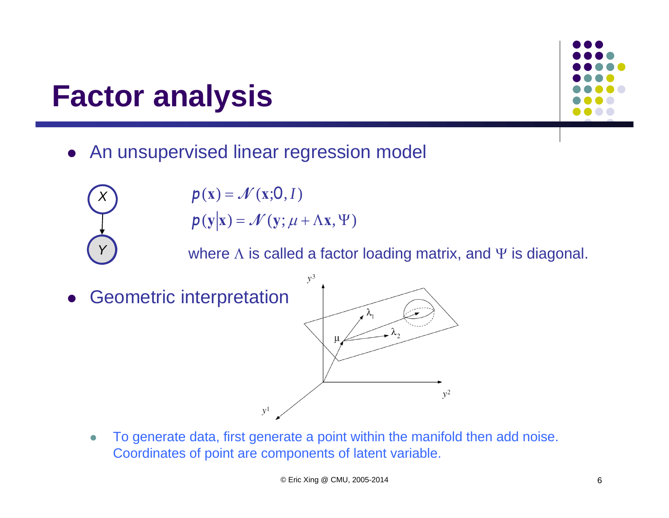### **Factor analysis**

**A***Y*

*X*

- An unsupervised linear regression model
	- $p(y|x) = \mathcal{N}(y; \mu + \Lambda x, \Psi)$  $p(x) = \mathcal{N}(x; 0, I)$

where  $\Lambda$  is called a factor loading matrix, and  $\Psi$  is diagonal.

- $y^3$  Geometric interpretation  $\bullet$  $v^2$  $y^1$ 
	- $\bullet$  To generate data, first generate a point within the manifold then add noise. Coordinates of point are components of latent variable.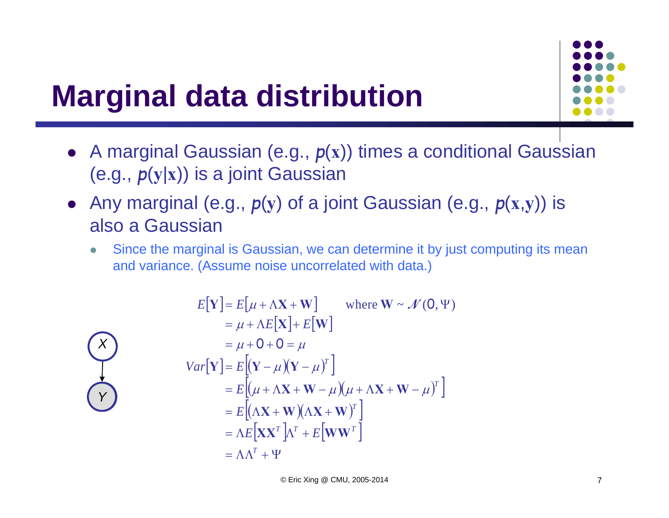# **Marginal data distribution**

- A marginal Gaussian (e.g.,  $p(x)$ ) times a conditional Gaussian (e.g., *p* ( **y**|**x**)) is a joint Gaussian
- Any marginal (e.g.,  $p(y)$  of a joint Gaussian (e.g.,  $p(x,y)$ ) is also a Gaussian
	- $\bullet$  Since the marginal is Gaussian, we can determine it by just computing its mean and variance. (Assume noise uncorrelated with data.)

$$
E[\mathbf{Y}] = E[\mu + \Lambda \mathbf{X} + \mathbf{W}] \qquad \text{where } \mathbf{W} \sim \mathcal{N}(\mathbf{0}, \Psi)
$$
  
\n
$$
= \mu + \Lambda E[\mathbf{X}] + E[\mathbf{W}]
$$
  
\n
$$
= \mu + \mathbf{0} + \mathbf{0} = \mu
$$
  
\n
$$
Var[\mathbf{Y}] = E[(\mathbf{Y} - \mu)(\mathbf{Y} - \mu)^{T}]
$$
  
\n
$$
= E[(\mu + \Lambda \mathbf{X} + \mathbf{W} - \mu)(\mu + \Lambda \mathbf{X} + \mathbf{W} - \mu)^{T}]
$$
  
\n
$$
= E[(\Lambda \mathbf{X} + \mathbf{W})(\Lambda \mathbf{X} + \mathbf{W})^{T}]
$$
  
\n
$$
= \Lambda E[\mathbf{X}\mathbf{X}^{T}]\Lambda^{T} + E[\mathbf{W}\mathbf{W}^{T}]
$$
  
\n
$$
= \Lambda \Lambda^{T} + \Psi
$$

**A***Y*

*X*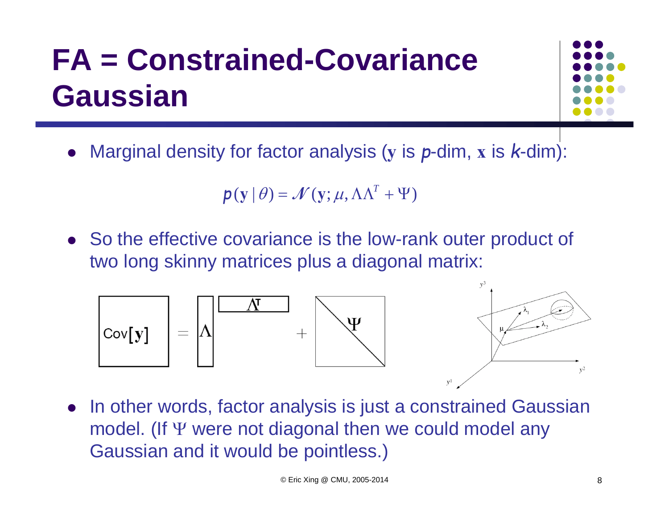# **FA = Constrained-Covariance Gaussian**



 $\bullet$ Marginal density for factor analysis ( **y** is *p*-dim, **x** is *k*-dim):

$$
\mathbf{p}(\mathbf{y} | \theta) = \mathcal{N}(\mathbf{y}; \mu, \Lambda \Lambda^T + \Psi)
$$

• So the effective covariance is the low-rank outer product of two long skinny matrices plus a diagonal matrix:



 $\bullet$  In other words, factor analysis is just a constrained Gaussian model. (If  $\Psi$  were not diagonal then we could model any Gaussian and it would be pointless.)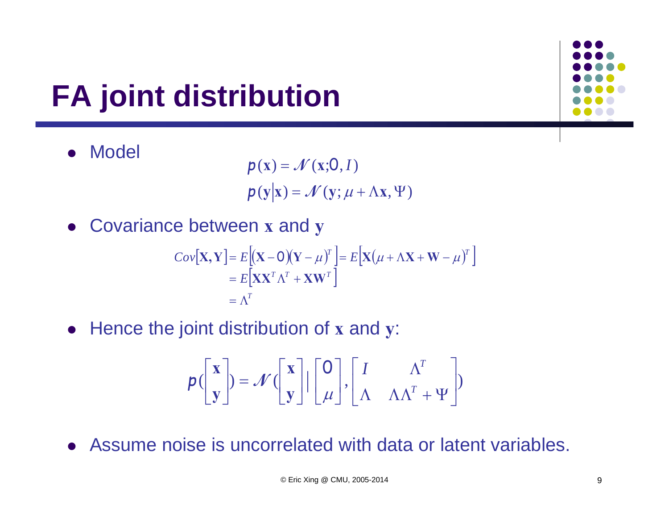# **FA joint distribution**

 $\bullet$ Model

 $p(y|x) = \mathcal{N}(y; \mu + \Lambda x, \Psi)$  $p(x) = \mathcal{N}(x; 0, I)$ 

Covariance between **x** and **y**

$$
Cov[\mathbf{X}, \mathbf{Y}] = E[(\mathbf{X} - \mathbf{O})(\mathbf{Y} - \mu)^{T}] = E[\mathbf{X}(\mu + \Lambda \mathbf{X} + \mathbf{W} - \mu)^{T}]
$$
  
=  $E[\mathbf{X}\mathbf{X}^{T}\Lambda^{T} + \mathbf{X}\mathbf{W}^{T}]$   
=  $\Lambda^{T}$ 

Hence the joint distribution of **x** and **y**:

$$
p\left(\begin{bmatrix} x \\ y \end{bmatrix}\right) = \mathcal{N}\left(\begin{bmatrix} x \\ y \end{bmatrix} \mid \begin{bmatrix} 0 \\ \mu \end{bmatrix}, \begin{bmatrix} I & \Lambda^T \\ \Lambda & \Lambda\Lambda^T + \Psi \end{bmatrix}\right)
$$

Assume noise is uncorrelated with data or latent variables.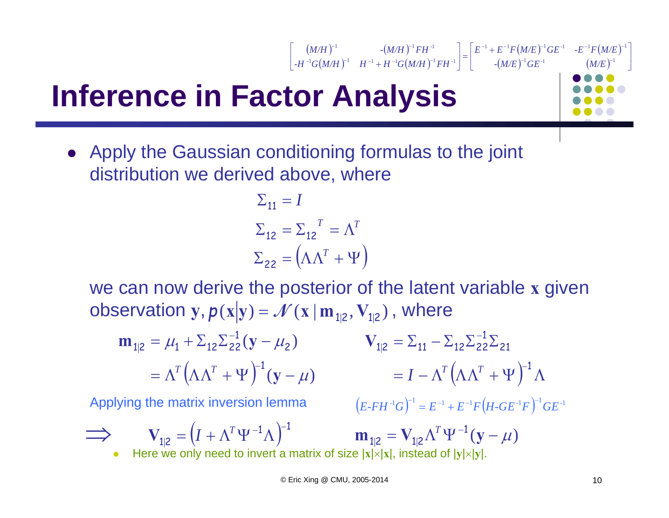# **Inference in Factor Analysis**

 Apply the Gaussian conditioning formulas to the joint distribution we derived above, where

L

Г

$$
\Sigma_{11} = I
$$
  
\n
$$
\Sigma_{12} = \Sigma_{12}^T = \Lambda^T
$$
  
\n
$$
\Sigma_{22} = (\Lambda \Lambda^T + \Psi)
$$

we can now derive the posterior of the latent variable **x** given  $\boldsymbol{\mathcal{D}}$  (bservation  $\mathbf{y}, \boldsymbol{p}(\mathbf{x}|\mathbf{y}) = \boldsymbol{\mathcal{N}}(\mathbf{x}|\mathbf{m}_{1|2}, \mathbf{V}_{1|2})$  , where

 $\left(M\!/\!H\,\right)^{\!-\!1} \hspace{1.5cm} \cdot \!\left(M\!/\!H\,\right)$ 

 $\bigl( M/H \bigr)^{\!-1} \quad H^{-1} \! + H^{-1} G\bigl( M/H \bigr)$ 

*-H*<sup>-1</sup>*G*(*M/H*)<sup>-1</sup>  $H^{-1}$  + *H*<sup>-1</sup>*G*(*M/H*)<sup>-1</sup> *FH*  $M/H$ <sup> $\bigcap$ </sup>  $\bigcap$   $\big(M/H\bigcap$ <sup>-</sup>  $FH$ </sup>

 $1C(M/H)^{-1}$   $H^{-1}$   $H^{-1}C(M/H)^{-1}$   $FH^{-1}$ 1  $(M/H)^{-1}$   $\mathbf{E}H^{-1}$ 

 $1$   $C$ [  $M$  /T  $V^{-1}$   $H^{-1}$   $H^{-1}$   $C$ [  $M$  /T  $V$  $-1$   $\left| \frac{1}{1} \right|$ 

 $\left[ \left( \frac{(M/H)^{-1}}{M/H} \right)^{-1} F H^{-1} \right]$ 

$$
\mathbf{m}_{1|2} = \mu_1 + \Sigma_{12} \Sigma_{22}^{-1} (\mathbf{y} - \mu_2) \qquad \mathbf{V}_{1|2} = \Sigma_{11} - \Sigma_{12} \Sigma_{22}^{-1} \Sigma_{21} \n= \Lambda^T (\Lambda \Lambda^T + \Psi)^{-1} (\mathbf{y} - \mu) \qquad = I - \Lambda^T (\Lambda \Lambda^T + \Psi)^{-1} \Lambda
$$

Applying the matrix inversion lemma

 $\Big( E\text{-}FH^{-1}G \Big)^{\!-1} = E^{-1} + E^{-1}F \Big( \! H\text{-}GE^{-1}F \Big)^{\!-1}GE^{-1}$ 

L

J

*-*

 $\lceil E^{-1} \rceil +$  $\left|=\right|$ 

 $+ H^{-1} G(M/H)$ <sup>-1</sup>  $FH^{-1}$  |  $\qquad - (M/E)^{-1} GE^{-1}$   $\qquad (M/E)^{-1}$ 

 $\bullet$ Here we only need to invert a matrix of size  $|x| \times |x|$ , instead of  $|y| \times |y|$ .  $\implies$   $V_{1|2} = (I + \Lambda^T \Psi^{-1} \Lambda)^{-1}$  $=(I + \Lambda^T \Psi^{-1} \Lambda)^T$  $V_{1|2} = (I + \Lambda^T \Psi^{-1} \Lambda)^{-1}$   $m_{1|2} = V_{1|2} \Lambda^T \Psi^{-1}$ **<sub>1|2</sub>**  $\Lambda^T \Psi^{-1} (\mathbf{y} - \mu)$ *T*

© Eric Xing @ CMU, 2005-2014 10

 $\big(M\!/E\big)^{\!-\!1}GE^{\!-\!1}$  -  $E^{\!-\!1}F\big(M\!/E\big)$  $(M/E)^{-1}GE^{-1}$   $(M/E)^{-1}$  $\left[E^{-1} + E^{-1}F(M/E)^{-1}GE^{-1} - E^{-1}F(M/E)^{-1}\right]$ 

 $1 \, \text{C} \, \text{F}^{-1}$   $\left( M \, \text{F} \right)^{-1}$ 

*- M/E GE M/E*  $E^{-1} + E^{-1}F(M/E)^{-1}GE^{-1}$   $-E^{-1}F(M/E)$ 

 $1 + p^{-1} p (\mu / p)^{-1} C p^{-1} = p^{-1} p (\mu / p)^{-1}$ 

*-*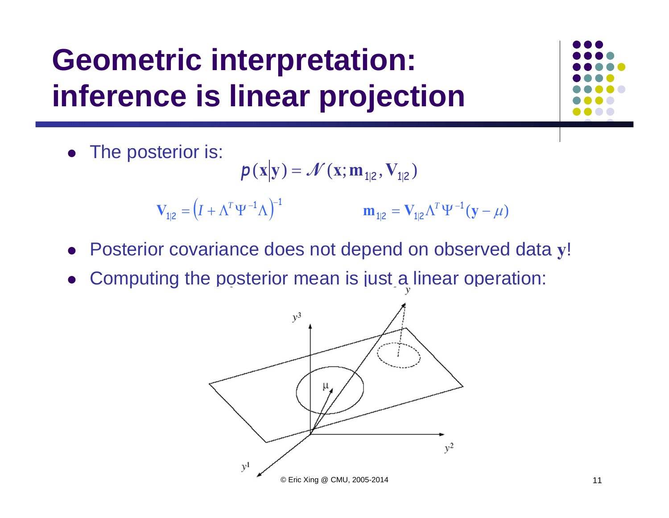# **Geometric interpretation: inference is linear projection**



$$
p(x|y) = \mathcal{N}(x; m_{1|2}, V_{1|2})
$$

 $\Lambda_{1|2} = \left( I + \Lambda^T \Psi^{-1} \Lambda \right)^{-1}$  $= (I + \Lambda^T \Psi^{-1} \Lambda)^T$  $V_{1|2} = (I + \Lambda^T \Psi^{-1} \Lambda)^{-1}$   $m_{1|2} = V_{1|2} \Lambda^T \Psi^{-1}$ **<sub>1|2</sub>**  $\Lambda^T \Psi^{-1} (\mathbf{y} - \mu)$ *T*

- $\bullet$ Posterior covariance does not depend on observed data **y**!
- $\bullet$ Computing the posterior mean is just a linear operation:

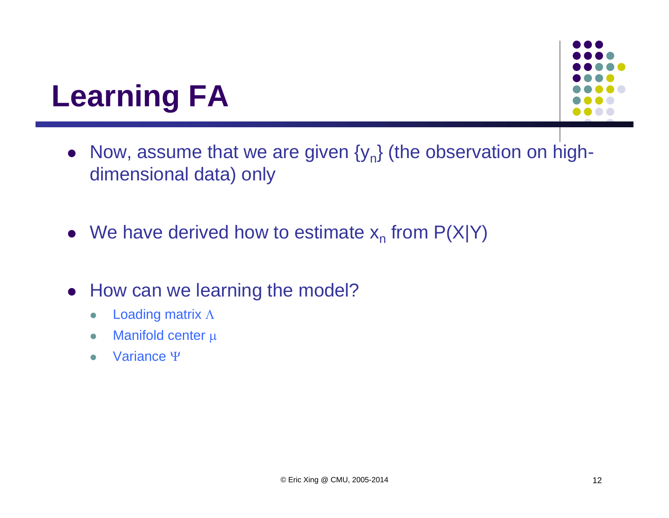

### **Learning FA**

- Now, assume that we are given  $\{y_n\}$  (the observation on highdimensional data) only
- We have derived how to estimate  $x_n$  from  $P(X|Y)$
- How can we learning the model?
	- $\bullet$ Loading matrix  $\Lambda$
	- $\bullet$ Manifold center  $\mu$
	- $\bullet$ Variance  $\Psi$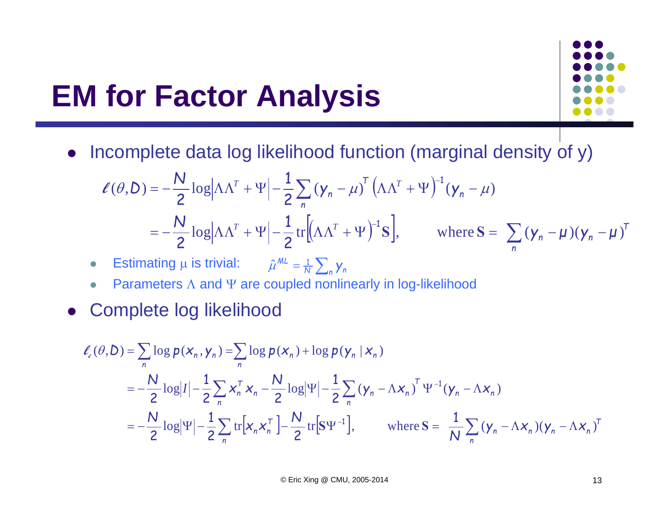## **EM for Factor Analysis**



• Incomplete data log likelihood function (marginal density of y)

$$
\ell(\theta, D) = -\frac{N}{2} \log \left| \Lambda \Lambda^{T} + \Psi \right| - \frac{1}{2} \sum_{n} \left( y_{n} - \mu \right)^{T} \left( \Lambda \Lambda^{T} + \Psi \right)^{-1} (\mathbf{y}_{n} - \mu)
$$
  
=  $-\frac{N}{2} \log \left| \Lambda \Lambda^{T} + \Psi \right| - \frac{1}{2} \text{tr} \left[ \left( \Lambda \Lambda^{T} + \Psi \right)^{-1} \mathbf{S} \right], \qquad \text{where } \mathbf{S} = \sum_{n} \left( \mathbf{y}_{n} - \mu \right) (\mathbf{y}_{n} - \mu)^{T}$ 

- $\bullet$ • Estimating  $\mu$  is trivial:  $\hat{\mu}^{ML} = \frac{1}{N} \sum_{n} \gamma_n$
- $\bullet$ • Parameters  $\Lambda$  and  $\Psi$  are coupled nonlinearly in log-likelihood
- $\bullet$ Complete log likelihood

$$
\ell_{c}(\theta, D) = \sum_{n} \log p(x_{n}, y_{n}) = \sum_{n} \log p(x_{n}) + \log p(y_{n} | x_{n})
$$
  
=  $-\frac{N}{2} \log |I| - \frac{1}{2} \sum_{n} x_{n}^{\top} x_{n} - \frac{N}{2} \log |\Psi| - \frac{1}{2} \sum_{n} (y_{n} - \Lambda x_{n})^{\top} \Psi^{-1} (y_{n} - \Lambda x_{n})$   
=  $-\frac{N}{2} \log |\Psi| - \frac{1}{2} \sum_{n} \text{tr}[x_{n} x_{n}^{\top}] - \frac{N}{2} \text{tr}[S \Psi^{-1}], \qquad \text{where } S = \frac{1}{N} \sum_{n} (y_{n} - \Lambda x_{n}) (y_{n} - \Lambda x_{n})^{\top}$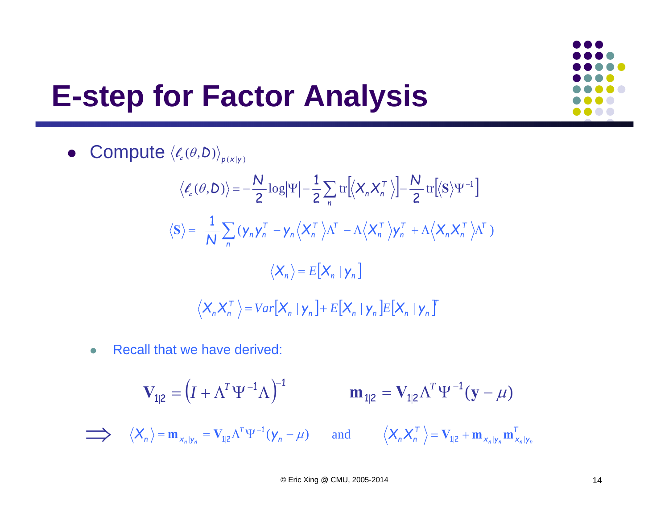# **E-step for Factor Analysis**

• Compute 
$$
\langle \ell_c(\theta, D) \rangle_{p(x|y)}
$$

$$
\langle \ell_c(\theta, D) \rangle = -\frac{N}{2} \log |\Psi| - \frac{1}{2} \sum_n \text{tr} \Big[ \langle X_n X_n^{\top} \rangle \Big] - \frac{N}{2} \text{tr} \Big[ \langle S \rangle \Psi^{-1} \Big]
$$
  

$$
\langle S \rangle = \frac{1}{N} \sum_n (\mathbf{y}_n \mathbf{y}_n^{\top} - \mathbf{y}_n \langle X_n^{\top} \rangle \Lambda^{\top} - \Lambda \langle X_n^{\top} \rangle \mathbf{y}_n^{\top} + \Lambda \langle X_n X_n^{\top} \rangle \Lambda^{\top})
$$
  

$$
\langle X_n \rangle = E[X_n | \mathbf{y}_n]
$$
  

$$
\langle X_n X_n^{\top} \rangle = Var[X_n | \mathbf{y}_n] + E[X_n | \mathbf{y}_n] E[X_n | \mathbf{y}_n]
$$

 $\bullet$ Recall that we have derived:

$$
\mathbf{V}_{1|2} = (I + \Lambda^T \Psi^{-1} \Lambda)^{-1} \qquad \mathbf{m}_{1|2} = \mathbf{V}_{1|2} \Lambda^T \Psi^{-1} (\mathbf{y} - \mu)
$$

 $\langle X_n \rangle = \mathbf{m}_{X_n|y_n} = \mathbf{V}_{1|2} \Lambda^T \Psi^{-1} (\mathbf{y}_n - \mu)$  $\langle X_n \rangle = \mathbf{m}_{X_n|Y_n} = \mathbf{V}_{1|2} \Lambda^T$  $\mathbf{x}_n | y_n \mathbf{m}_{X_n | y}^T$ and  $\langle X_n X_n^{\top} \rangle = V_{1|2} + \mathbf{m}_{X_n|y_n} \mathbf{m}_{X_n|y_n}^{\top}$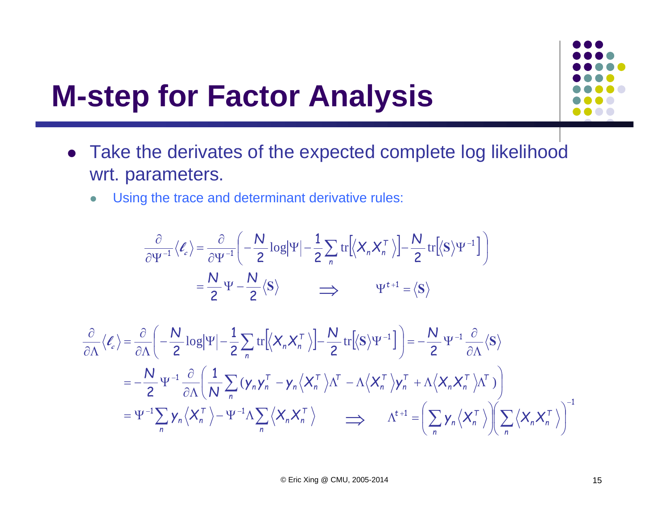

### **M-step for Factor Analysis**

- Take the derivates of the expected complete log likelihood wrt. parameters.
	- $\bullet$ Using the trace and determinant derivative rules:

$$
\frac{\partial}{\partial \Psi^{-1}} \langle \ell_e \rangle = \frac{\partial}{\partial \Psi^{-1}} \left( -\frac{N}{2} \log |\Psi| - \frac{1}{2} \sum_n \text{tr} \left[ \langle X_n X_n^T \rangle \right] - \frac{N}{2} \text{tr} \left[ \langle S \rangle \Psi^{-1} \right] \right)
$$

$$
= \frac{N}{2} \Psi - \frac{N}{2} \langle S \rangle \qquad \Longrightarrow \qquad \Psi^{t+1} = \langle S \rangle
$$

$$
\frac{\partial}{\partial \Lambda} \langle \ell_{c} \rangle = \frac{\partial}{\partial \Lambda} \left( -\frac{N}{2} \log |\Psi| - \frac{1}{2} \sum_{n} \text{tr} \left[ \langle X_{n} X_{n}^{\top} \rangle \right] - \frac{N}{2} \text{tr} \left[ \langle S \rangle \Psi^{-1} \right] \right) = -\frac{N}{2} \Psi^{-1} \frac{\partial}{\partial \Lambda} \langle S \rangle
$$
\n
$$
= -\frac{N}{2} \Psi^{-1} \frac{\partial}{\partial \Lambda} \left( \frac{1}{N} \sum_{n} \left( \mathbf{y}_{n} \mathbf{y}_{n}^{\top} - \mathbf{y}_{n} \langle X_{n}^{\top} \rangle \Lambda^{\top} - \Lambda \langle X_{n}^{\top} \rangle \mathbf{y}_{n}^{\top} + \Lambda \langle X_{n} X_{n}^{\top} \rangle \Lambda^{\top} \right) \right)
$$
\n
$$
= \Psi^{-1} \sum_{n} \mathbf{y}_{n} \langle X_{n}^{\top} \rangle - \Psi^{-1} \Lambda \sum_{n} \langle X_{n} X_{n}^{\top} \rangle \qquad \Longrightarrow \qquad \Lambda^{t+1} = \left( \sum_{n} \mathbf{y}_{n} \langle X_{n}^{\top} \rangle \right) \left( \sum_{n} \langle X_{n} X_{n}^{\top} \rangle \right)^{-1}
$$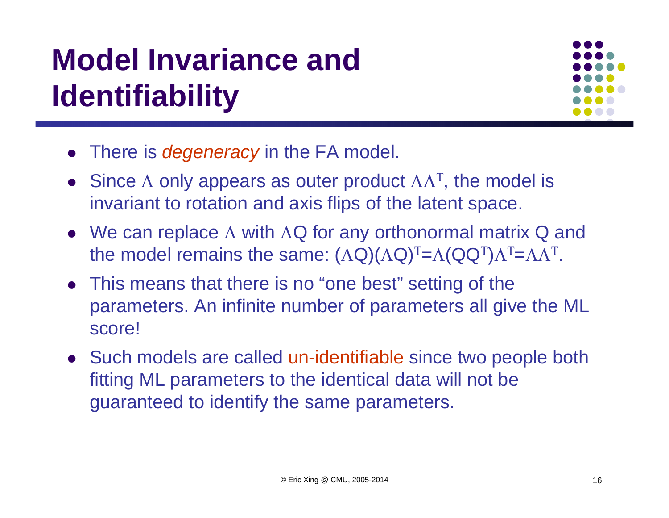# **Model Invariance and Identifiability**



- There is *degeneracy* in the FA model.
- Since  $\Lambda$  only appears as outer product  $\Lambda\Lambda^{T}$ , the model is invariant to rotation and axis flips of the latent space.
- We can replace  $\Lambda$  with  $\Lambda Q$  for any orthonormal matrix Q and the model remains the same:  $(\Lambda{\mathsf Q})(\Lambda{\mathsf Q})^{\rm T}\!\!=\!\! \Lambda({\mathsf Q}{\mathsf Q}^{\rm T}\!$  $)\Lambda$  $T = \Lambda \Lambda$ Τ.
- This means that there is no "one best" setting of the parameters. An infinite number of parameters all give the ML score!
- Such models are called un-identifiable since two people both fitting ML parameters to the identical data will not be guaranteed to identify the same parameters.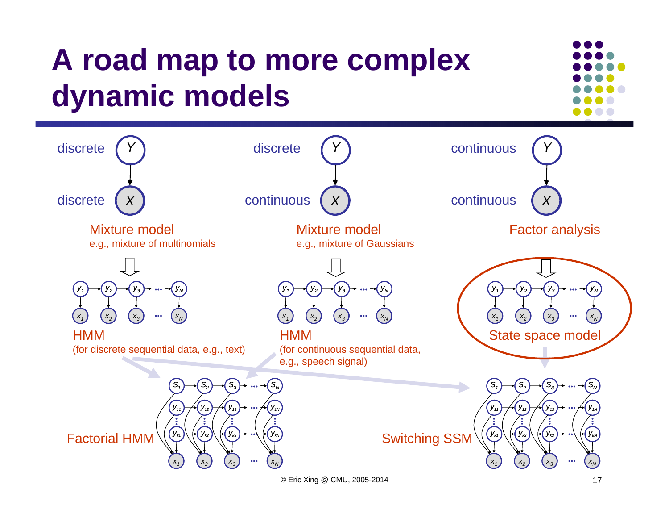### **A road map to more complex dynamic models A***XY***A***XY***A***X*discrete *Y*discrete discretecontinuous continuous continuous Mixture model e.g., mixture of multinomials Mixture model e.g., mixture of Gaussians Factor analysis *x***A***1* $(X_2)$   $(X_3)$  <sup>3</sup>  $\cdots$   $(X_N)$ *y2* $y_1$   $\rightarrow$   $(y_2)$   $\rightarrow$   $(y_3)$   $\rightarrow$   $\cdots$   $\rightarrow$   $(y_N)$  *... ... x***A***1* $(X_2)$   $(X_3)$  <sup>3</sup>  $\cdots$   $(X_N)$ *y2* $y_1$   $\rightarrow$   $(y_2)$   $\rightarrow$   $(y_3)$   $\rightarrow$   $\cdots$   $\rightarrow$   $(y_N)$  *... ... x***A***1* $(X_2)$   $(X_3)$  <sup>3</sup>  $\cdots$   $(X_N)$ *y2* $y_1$   $\rightarrow$  (  $y_2$   $\rightarrow$  (  $y_3$   $\rightarrow$   $\cdots$   $\rightarrow$  (  $y_N$  *... ...* **HMM** (for discrete sequential data, e.g., text) HMM(for continuous sequential data, e.g., speech signal) State space model **... ... ... ...** *x***A***1* $(X_2)$   $(X_3)$  **···**  $(X_N)$ *yk1 yk2 yk3 ykN ... ... y11y* <del>} / (</del> y<sub>12</sub> } / ( y<sub>13</sub> } → … / ( y<sub>1N</sub> *... S1* $(S_1) \rightarrow (S_2) \rightarrow (S_3) \rightarrow \dots \rightarrow (S_N)$  *...*  **... ... ... ...** *x***A***1* $(X_2)$   $(X_3)$  **···**  $(X_N)$ *yk1 yk2 yk3 ykN ... ... y11y* <del>} / (</del> y<sub>12</sub> } / ( y<sub>13</sub> } → … / ( y<sub>1N</sub> *... S1* $(S_1) \rightarrow (S_2) \rightarrow (S_3) \rightarrow \dots \rightarrow (S_N)$  *...*  Factorial HMM  $\left(\frac{V_{k_1}}{V_{k_2}}\right)$   $\left(\frac{V_{k_3}}{V_{k_4}}\right)$  Switching SSM

© Eric Xing @ CMU, 2005-2014 17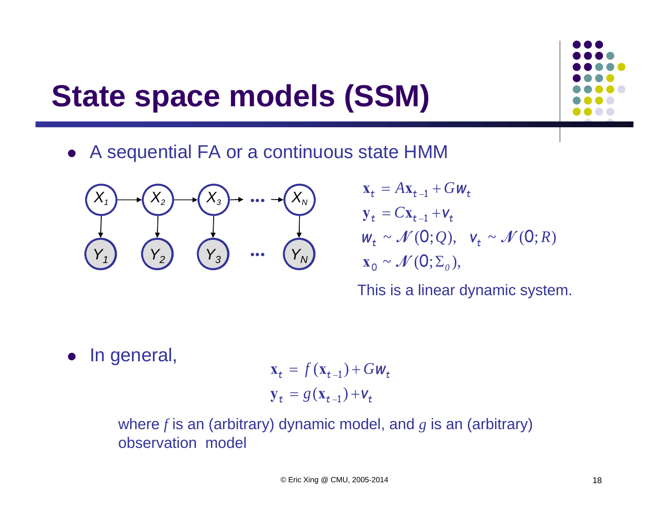# **State space models (SSM)**



A sequential FA or a continuous state HMM



$$
\mathbf{x}_{t} = A\mathbf{x}_{t-1} + G\mathbf{w}_{t}
$$
\n
$$
\mathbf{y}_{t} = C\mathbf{x}_{t-1} + \mathbf{v}_{t}
$$
\n
$$
\mathbf{w}_{t} \sim \mathcal{N}(0; Q), \quad \mathbf{v}_{t} \sim \mathcal{N}(0; R)
$$
\n
$$
\mathbf{x}_{0} \sim \mathcal{N}(0; \Sigma_{0}),
$$

This is a linear dynamic system.

 $\bullet$ In general,

 $y_t = g(x_{t-1}) + v_t$  $\mathbf{x}_t = f(\mathbf{x}_{t-1}) + G \mathbf{w}_t$ 

where *f* is an (arbitrary) dynamic model, and *<sup>g</sup>* is an (arbitrary) observation model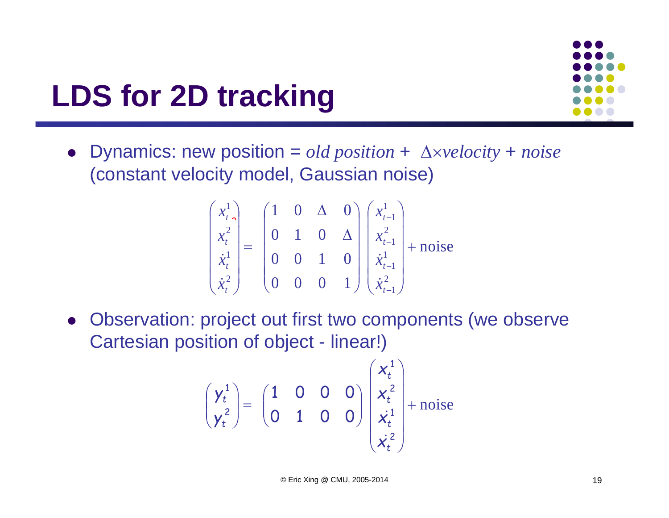# **LDS for 2D tracking**



• Dynamics: new position =  $old$  position +  $\Delta \times velocity + noise$ (constant velocity model, Gaussian noise)

$$
\begin{pmatrix} x_t^1 \\ x_t^2 \\ \dot{x}_t^1 \\ \dot{x}_t^2 \end{pmatrix} = \begin{pmatrix} 1 & 0 & \Delta & 0 \\ 0 & 1 & 0 & \Delta \\ 0 & 0 & 1 & 0 \\ 0 & 0 & 0 & 1 \end{pmatrix} \begin{pmatrix} x_{t-1}^1 \\ x_{t-1}^2 \\ \dot{x}_{t-1}^1 \\ \dot{x}_{t-1}^2 \end{pmatrix} + \text{noise}
$$

 Observation: project out first two components (we observe Cartesian position of object - linear!)

$$
\begin{pmatrix} \gamma_t^1 \\ \gamma_t^2 \end{pmatrix} = \begin{pmatrix} 1 & 0 & 0 & 0 \\ 0 & 1 & 0 & 0 \end{pmatrix} \begin{pmatrix} x_t^1 \\ x_t^2 \\ \dot{x}_t^1 \\ \dot{x}_t^2 \end{pmatrix} + \text{noise}
$$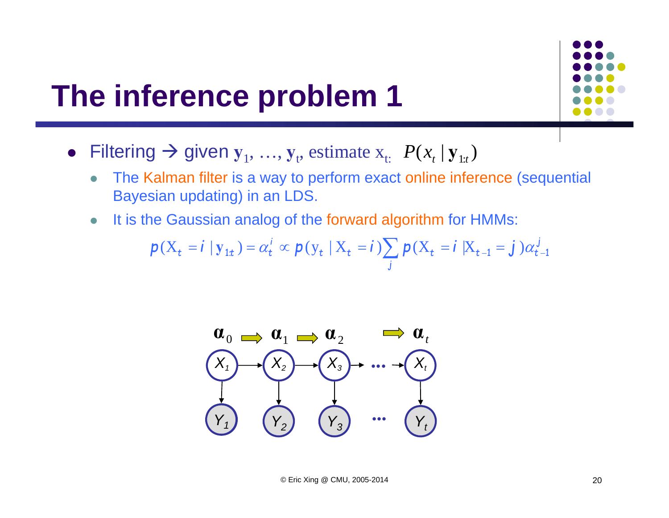### **The inference problem 1**



- $\bullet$  The Kalman filter is a way to perform exact online inference (sequential Bayesian updating) in an LDS.
- $\bullet$ It is the Gaussian analog of the forward algorithm for HMMs:

$$
\boldsymbol{p}(\mathbf{X}_t = \boldsymbol{i} \mid \mathbf{y}_{1t}) = \alpha_t^i \propto \boldsymbol{p}(\mathbf{y}_t \mid \mathbf{X}_t = \boldsymbol{i}) \sum_j \boldsymbol{p}(\mathbf{X}_t = \boldsymbol{i} \mid \mathbf{X}_{t-1} = \boldsymbol{j}) \alpha_{t-1}^j
$$

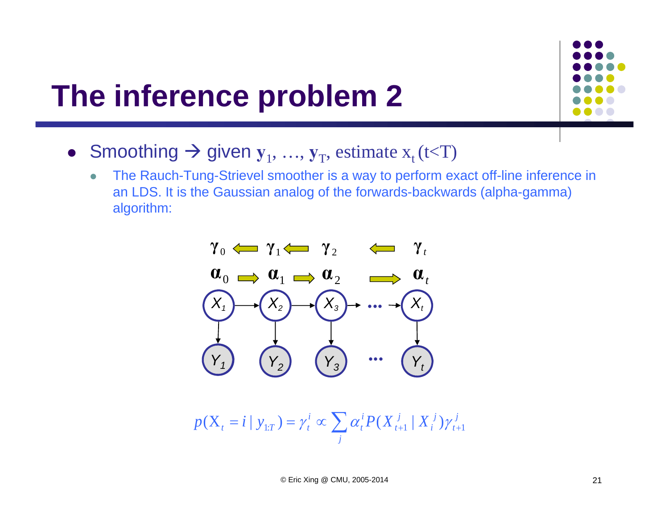### **The inference problem 2**



- Smoothing  $\rightarrow$  given  $y_1, ..., y_T$ , estimate  $x_t$  (t<T)
	- $\bullet$  The Rauch-Tung-Strievel smoother is a way to perform exact off-line inference in an LDS. It is the Gaussian analog of the forwards-backwards (alpha-gamma) algorithm:



$$
p(X_{t} = i | y_{1:T}) = \gamma_{t}^{i} \propto \sum_{j} \alpha_{t}^{i} P(X_{t+1}^{j} | X_{i}^{j}) \gamma_{t+1}^{j}
$$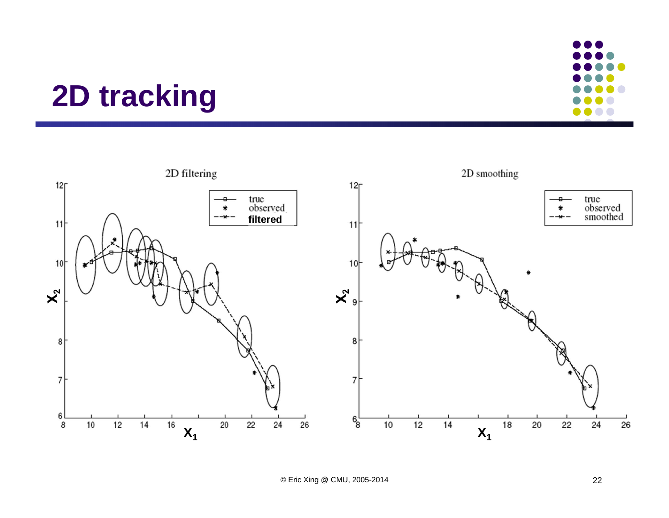### **2D tracking**



O

....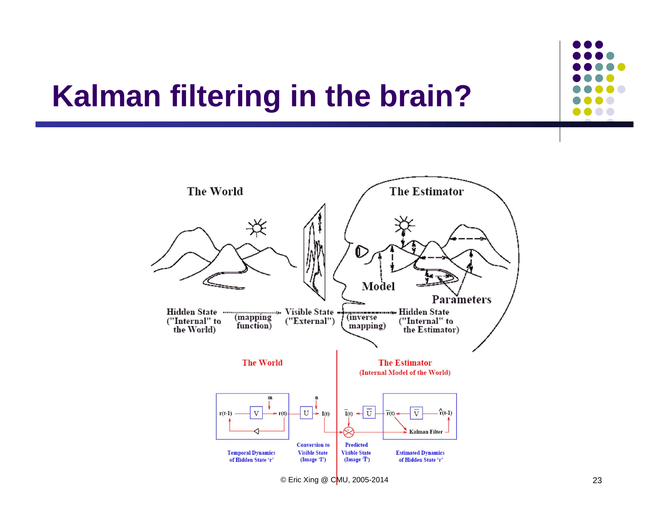# **Kalman filtering in the brain?**

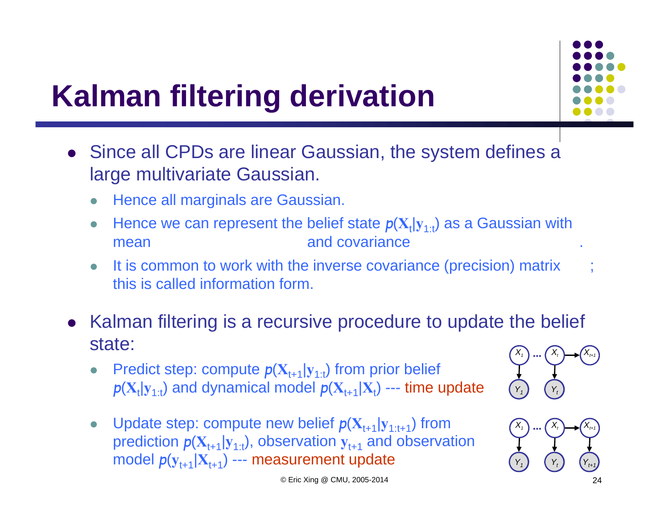

# **Kalman filtering derivation**

- Since all CPDs are linear Gaussian, the system defines a large multivariate Gaussian.
	- 0 Hence all marginals are Gaussian.
	- $\bullet$ • Hence we can represent the belief state  $p(X_t|y_{1:t})$  as a Gaussian with mean and covariance
	- $\bullet$ It is common to work with the inverse covariance (precision) matrix this is called information form.
- Kalman filtering is a recursive procedure to update the belief state:
	- $\bullet$ • Predict step: compute  $p(X_{t+1}|y_{1:t})$  from prior belief  $p(\mathbf{X}_{\text{t}}|\mathbf{y}_{1:\text{t}})$  and dynamical model  $p(\mathbf{X}_{\text{t+1}}|\mathbf{X}_{\text{t}})$  --- time update
	- $\bullet$ • Update step: compute new belief  $p(X_{t+1}|y_{1:t+1})$  from prediction  $p(\mathbf{X}_{t+1}|\mathbf{y}_{1:t})$ , observation  $\mathbf{y}_{t+1}$  and observation model *p*(**y**t+1|**X**t+1) --- measurement update





© Eric Xing @ CMU, 2005-2014 24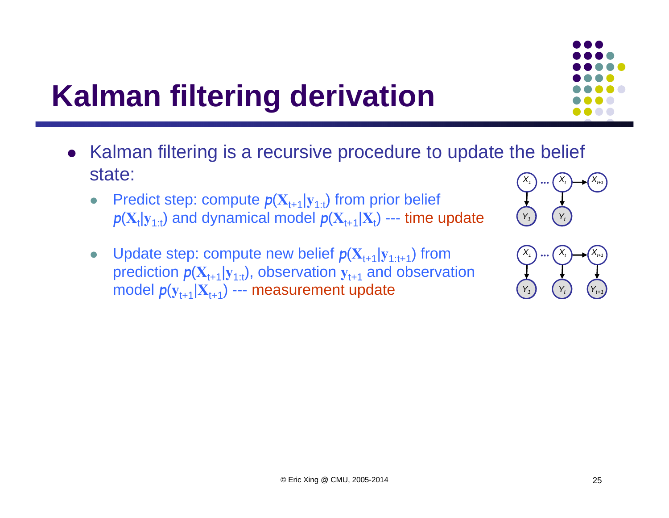# **Kalman filtering derivation**

- Kalman filtering is a recursive procedure to update the belief state: *X1 ... Xt*
	- $\bullet$ • Predict step: compute  $p(X_{t+1}|y_{1:t})$  from prior belief  $p(\mathbf{X}_{\text{t}}|\mathbf{y}_{1:\text{t}})$  and dynamical model  $p(\mathbf{X}_{\text{t+1}}|\mathbf{X}_{\text{t}})$  --- time update
	- $\bullet$ • Update step: compute new belief  $p(X_{t+1}|y_{1:t+1})$  from prediction  $p(\mathbf{X}_{t+1}|\mathbf{y}_{1:t})$ , observation  $\mathbf{y}_{t+1}$  and observation model *p*(**y**t+1|**X**t+1) --- measurement update



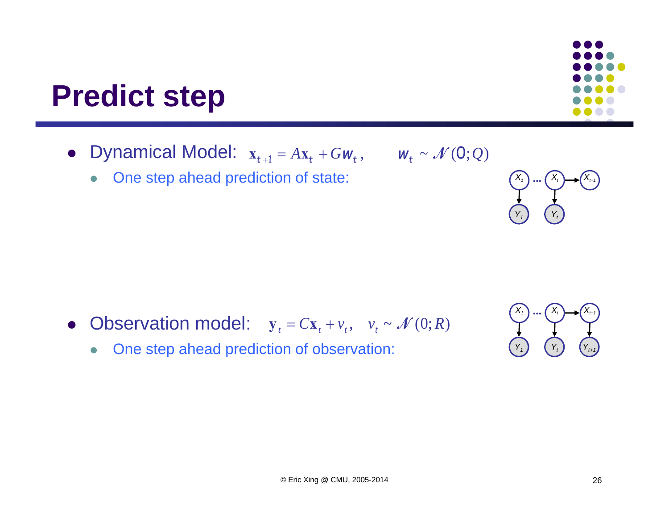### **Predict step**

- Dynamical Model:  $x_{t+1} = Ax_t + Gw_t$ ,  $w_t \sim \mathcal{N}(0;Q)$ 
	- $\bullet$ One step ahead prediction of state:

- Observation model:  $y_t = Cx_t + v_t$ ,  $v_t \sim \mathcal{N}(0;R)$ 
	- $\bullet$ One step ahead prediction of observation:



*Y***A***1*

*X1*

*Y*<sub>t</sub>  $Y_t$ 

 $(X_t)$  ...  $(X_t)$   $\longrightarrow$   $(X_{t+1})$ 

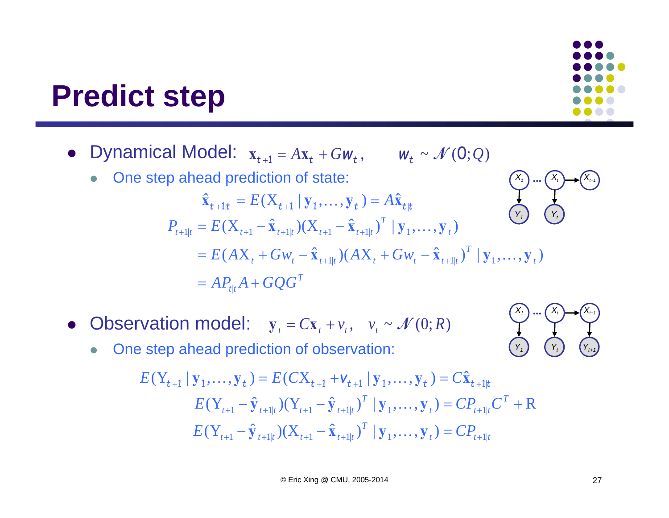### **Predict step**

- Dynamical Model:  $x_{t+1} = Ax_t + Gw_t$ ,  $w_t \sim \mathcal{N}(0;Q)$ 
	- $\bullet$ One step ahead prediction of state:

$$
\hat{\mathbf{x}}_{t+1|t} = E(\mathbf{X}_{t+1} | \mathbf{y}_1, ..., \mathbf{y}_t) = A\hat{\mathbf{x}}_{t|t}
$$
\n
$$
P_{t+1|t} = E(\mathbf{X}_{t+1} - \hat{\mathbf{x}}_{t+1|t})(\mathbf{X}_{t+1} - \hat{\mathbf{x}}_{t+1|t})^T | \mathbf{y}_1, ..., \mathbf{y}_t)
$$
\n
$$
= E(A\mathbf{X}_t + G\mathbf{W}_t - \hat{\mathbf{x}}_{t+1|t})(A\mathbf{X}_t + G\mathbf{W}_t - \hat{\mathbf{x}}_{t+1|t})^T | \mathbf{y}_1, ..., \mathbf{y}_t)
$$
\n
$$
= A P_{t|t} A + G Q G^T
$$

- Observation model:  $y_t = Cx_t + v_t$ ,  $v_t \sim \mathcal{N}(0;R)$ 
	- $\bullet$ One step ahead prediction of observation:

$$
E(Y_{t+1} | \mathbf{y}_1, \dots, \mathbf{y}_t) = E(CX_{t+1} + \mathbf{v}_{t+1} | \mathbf{y}_1, \dots, \mathbf{y}_t) = C\hat{\mathbf{x}}_{t+1|t}
$$
  
\n
$$
E(Y_{t+1} - \hat{\mathbf{y}}_{t+1|t})(Y_{t+1} - \hat{\mathbf{y}}_{t+1|t})^T | \mathbf{y}_1, \dots, \mathbf{y}_t) = C P_{t+1|t} C^T + R
$$
  
\n
$$
E(Y_{t+1} - \hat{\mathbf{y}}_{t+1|t})(X_{t+1} - \hat{\mathbf{x}}_{t+1|t})^T | \mathbf{y}_1, \dots, \mathbf{y}_t) = C P_{t+1|t}
$$

*X1*

*Y***A***1*

*X1*

 $(X_t)$  ...  $(X_t)$   $\longrightarrow$   $(X_{t+1})$ 

 $(Y_t \mid Y_t)$   $(Y_{t+1} \mid Y_{t+1})$ 

 $(X_t)$  ...  $(X_t)$   $\longrightarrow$   $(X_{t+1})$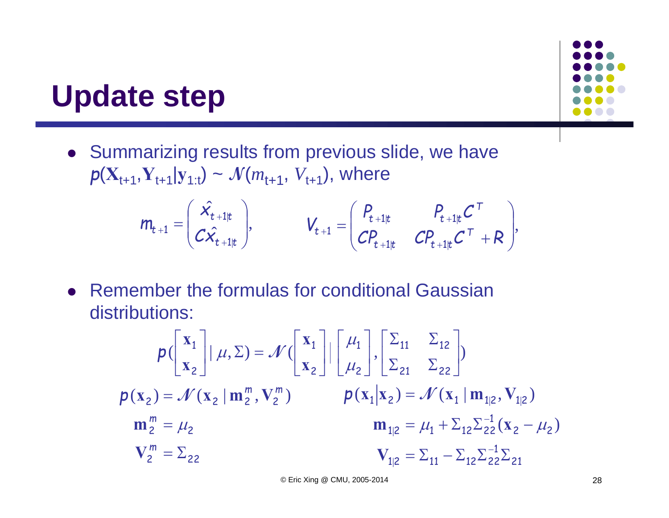### **Update step**

**•** Summarizing results from previous slide, we have  $p(X_{t+1}, Y_{t+1}|y_{1:t}) \sim \mathcal{N}(m_{t+1}, V_{t+1}),$  where

$$
m_{t+1} = \begin{pmatrix} \hat{x_{t+1|t}} \\ C\hat{x_{t+1|t}} \end{pmatrix}, \qquad V_{t+1} = \begin{pmatrix} P_{t+1|t} & P_{t+1|t} C^T \\ C P_{t+1|t} & C P_{t+1|t} C^T + R \end{pmatrix},
$$

• Remember the formulas for conditional Gaussian distributions:

$$
p\left(\begin{bmatrix} x_1 \\ x_2 \end{bmatrix} | \mu, \Sigma\right) = \mathcal{N}\left(\begin{bmatrix} x_1 \\ x_2 \end{bmatrix} | \begin{bmatrix} \mu_1 \\ \mu_2 \end{bmatrix}, \begin{bmatrix} \Sigma_{11} & \Sigma_{12} \\ \Sigma_{21} & \Sigma_{22} \end{bmatrix} \right)
$$
  
\n
$$
p(x_2) = \mathcal{N}(x_2 | m_2^m, V_2^m) \qquad p(x_1 | x_2) = \mathcal{N}(x_1 | m_{12}, V_{12})
$$
  
\n
$$
m_2^m = \mu_2 \qquad m_{12} = \mu_1 + \Sigma_{12} \Sigma_{22}^{-1} (x_2 - \mu_2)
$$
  
\n
$$
V_2^m = \Sigma_{22} \qquad V_{1|2} = \Sigma_{11} - \Sigma_{12} \Sigma_{22}^{-1} \Sigma_{21}
$$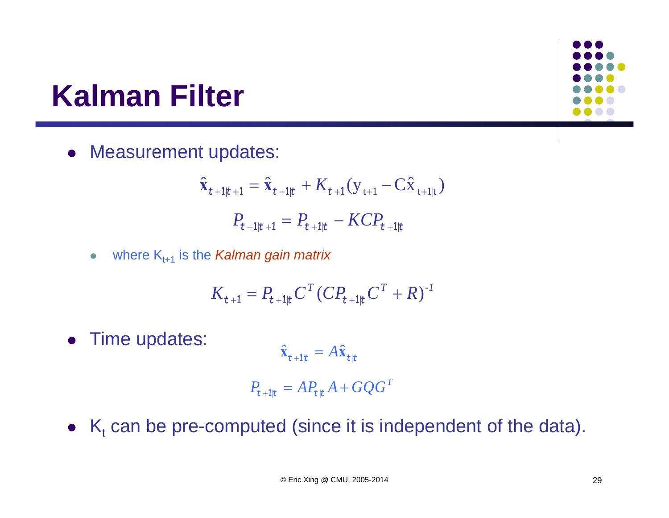# **Kalman Filter**

**• Measurement updates:** 

$$
\hat{\mathbf{x}}_{t+1|t+1} = \hat{\mathbf{x}}_{t+1|t} + K_{t+1}(\mathbf{y}_{t+1} - \mathbf{C}\hat{\mathbf{x}}_{t+1|t})
$$
\n
$$
P_{t+1|t+1} = P_{t+1|t} - KCP_{t+1|t}
$$

 $\bullet$ where Kt+1 is the *Kalman gain matrix*

$$
K_{t+1} = P_{t+1|t} C^{T} (C P_{t+1|t} C^{T} + R)^{-1}
$$

• Time updates:

$$
\hat{\mathbf{x}}_{t+1|t} = A\hat{\mathbf{x}}_{t|t}
$$

$$
P_{t+1|t} = AP_{t|t}A + GQG^{T}
$$

•  $K_t$  can be pre-computed (since it is independent of the data).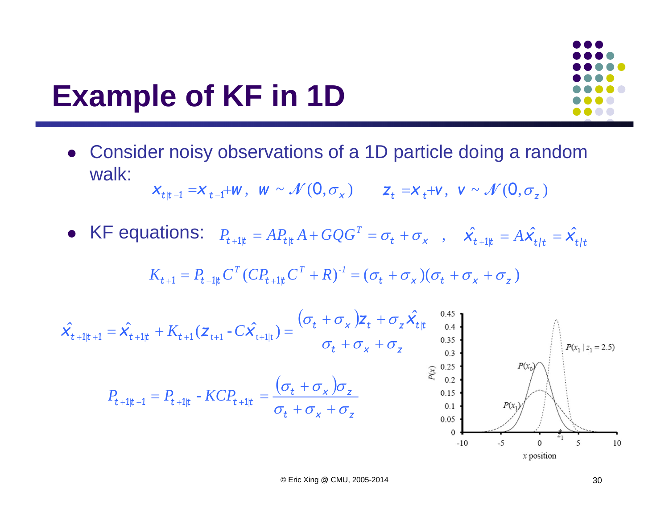### **Example of KF in 1D**



 Consider noisy observations of a 1D particle doing a random walk:

$$
\mathbf{X}_{t|t-1} = \mathbf{X}_{t-1} + \mathbf{W}, \ \mathbf{W} \sim \mathcal{N}(\mathbf{0}, \sigma_x) \qquad \mathbf{Z}_t = \mathbf{X}_t + \mathbf{V}, \ \mathbf{V} \sim \mathcal{N}(\mathbf{0}, \sigma_z)
$$

• KF equations:  $P_{t+1|t} = AP_{t|t}A + GQG^{T} = \sigma_{t} + \sigma_{x}$ ,  $\hat{x_{t+1|t}} = A\hat{x_{t|t}} = \hat{x_{t|t}}$  $P_{t+1|t} = AP_{t|t}A + GQG^{T}$ 

$$
K_{t+1} = P_{t+1|t} C^T (C P_{t+1|t} C^T + R)^{-1} = (\sigma_t + \sigma_x) (\sigma_t + \sigma_x + \sigma_z)
$$

$$
\hat{\mathbf{X}_{t+1|t+1}} = \hat{\mathbf{X}_{t+1|t}} + K_{t+1}(\mathbf{Z}_{t+1} - C\hat{\mathbf{X}_{t+1|t}}) = \frac{(\sigma_t + \sigma_x)\mathbf{Z}_t + \sigma_z\hat{\mathbf{X}_{t|t}}^{0.4}}{\sigma_t + \sigma_x + \sigma_z^{0.35}} + \sum_{\substack{0.35\\0.25\\0.35\\0.55\\0.65}
$$
\n
$$
P_{t+1|t+1} = P_{t+1|t} - KCP_{t+1|t} = \frac{(\sigma_t + \sigma_x)\sigma_z}{\sigma_t + \sigma_x + \sigma_z} \qquad \begin{array}{c}\n\text{0.4}\\
\text{0.5}\\
\text{0.5}\\
\text{0.6}\\
\text{0.7}\n\end{array}
$$
\n
$$
P(\mathbf{x}_t | \mathbf{z}_t = 2.5)
$$
\n
$$
P(\mathbf{x}_t | \mathbf{z}_t = 2.5)
$$
\n
$$
P(\mathbf{x}_t | \mathbf{z}_t = 2.5)
$$
\n
$$
P(\mathbf{x}_t | \mathbf{z}_t = 2.5)
$$
\n
$$
P(\mathbf{x}_t | \mathbf{z}_t = 2.5)
$$
\n
$$
P(\mathbf{x}_t | \mathbf{z}_t = 2.5)
$$
\n
$$
P(\mathbf{x}_t | \mathbf{z}_t = 2.5)
$$
\n
$$
P(\mathbf{x}_t | \mathbf{z}_t = 2.5)
$$
\n
$$
P(\mathbf{x}_t | \mathbf{z}_t = 2.5)
$$
\n
$$
P(\mathbf{x}_t | \mathbf{z}_t = 2.5)
$$
\n
$$
P(\mathbf{x}_t | \mathbf{z}_t = 2.5)
$$
\n
$$
P(\mathbf{x}_t | \mathbf{z}_t = 2.5)
$$
\n
$$
P(\mathbf{x}_t | \mathbf{z}_t = 2.5)
$$
\n
$$
P(\mathbf{x}_t | \mathbf{z}_t = 2.5)
$$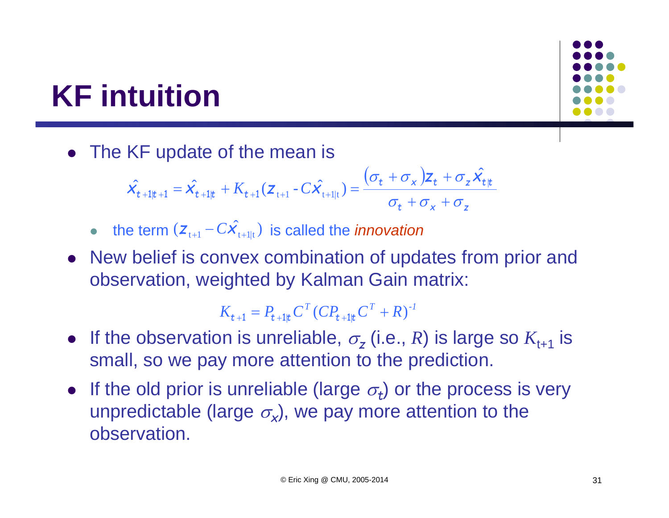# **KF intuition**

• The KF update of the mean is

$$
\hat{\mathbf{X}_{t+1|t+1}} = \hat{\mathbf{X}_{t+1|t}} + K_{t+1}(\mathbf{Z}_{t+1} - C\hat{\mathbf{X}_{t+1|t}}) = \frac{(\sigma_t + \sigma_x)\mathbf{Z}_t + \sigma_z\hat{\mathbf{X}_{t|t}}}{\sigma_t + \sigma_x + \sigma_z}
$$

- the term  $(z_{t+1} C\hat{X}_{t+1|t})$  is called the *innovation*
- New belief is convex combination of updates from prior and observation, weighted by Kalman Gain matrix:

$$
K_{t+1} = P_{t+1|t} C^{T} (C P_{t+1|t} C^{T} + R)^{-1}
$$

- If the observation is unreliable,  $\sigma$ <sub>z</sub> (i.e., *R*) is large so  $K$ <sub>t+1</sub> is small, so we pay more attention to the prediction.
- If the old prior is unreliable (large  $\sigma_t$ ) or the process is very unpredictable (large  $\sigma_{\mathbf{x}}$ ), we pay more attention to the observation.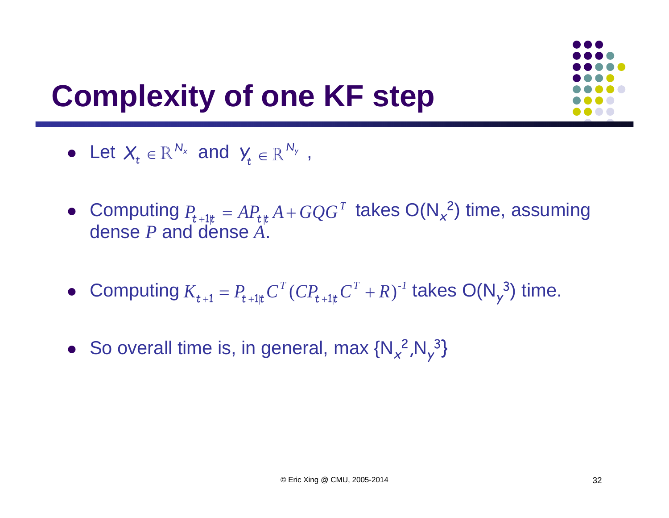

# **Complexity of one KF step**

- Let  $X_t \in \mathbb{R}^{N_x}$  and  $Y_t \in \mathbb{R}^{N_y}$ ,  $\bm{X}_t \in \mathbb{R}^{\: N_{\mathsf{x}}}$  and  $\bm{\mathsf{y}}_t \in \mathbb{R}^{\: N_{\mathsf{y}}}$
- Computing  $P_{t+1|t} = AP_{t|t}A + GQG^{T}$  takes  $O(N_{x}^{2})$  time, assuming dense *P* and dense *A*.
- Computing  $K_{t+1} = P_{t+1|t} C^T (C P_{t+1|t} C^T + R)^{-1}$  takes  $O(N_y^3)$  time.
- So overall time is, in general, max {N<sub>x</sub><sup>2</sup>,N<sub>y</sub> 3 }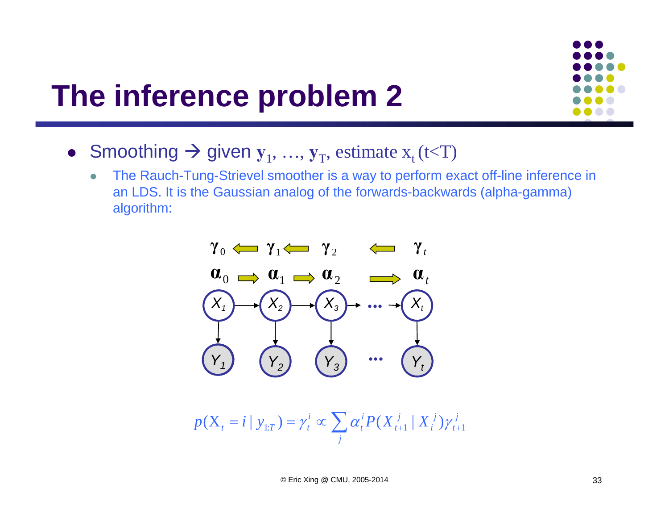### **The inference problem 2**



- Smoothing  $\rightarrow$  given  $y_1, ..., y_T$ , estimate  $x_t$  (t<T)
	- $\bullet$  The Rauch-Tung-Strievel smoother is a way to perform exact off-line inference in an LDS. It is the Gaussian analog of the forwards-backwards (alpha-gamma) algorithm:



$$
p(X_{t} = i | y_{1:T}) = \gamma_{t}^{i} \propto \sum_{j} \alpha_{t}^{i} P(X_{t+1}^{j} | X_{i}^{j}) \gamma_{t+1}^{j}
$$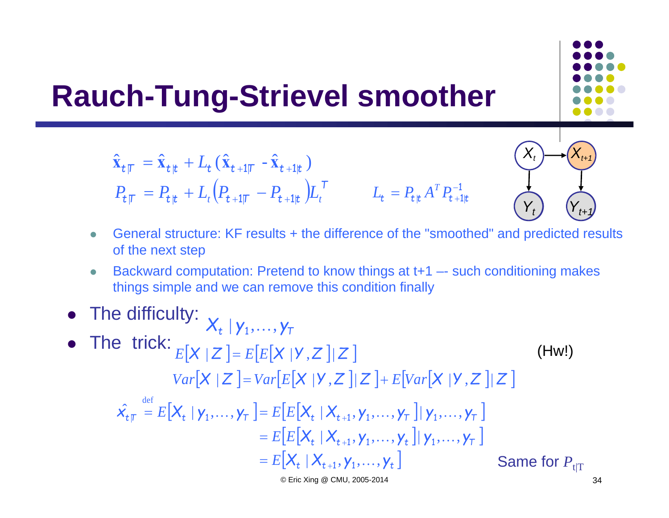### **Rauch-Tung-Strievel smoother**

$$
\hat{\mathbf{x}}_{t|T} = \hat{\mathbf{x}}_{t|t} + L_t (\hat{\mathbf{x}}_{t+1|T} - \hat{\mathbf{x}}_{t+1|t})
$$
\n
$$
P_{t|T} = P_{t|t} + L_t (P_{t+1|T} - P_{t+1|t}) L_t^T \qquad L_t = P_{t|t} A^T P_{t+1|t}^{-1}
$$

- $\bullet$  General structure: KF results + the difference of the "smoothed" and predicted results of the next step
- $\bullet$  Backward computation: Pretend to know things at t+1 –- such conditioning makes things simple and we can remove this condition finally
- The difficulty: • The trick:  $\hat{x_{t}} = E[X_t | y_1, \ldots, y_T] = E[E[X_t | X_{t+1}, y_1, \ldots, y_T] | y_1, \ldots, y_T]$  $\mathcal{F} = E\big[E\big[\mathcal{X}_{t} \mid \mathcal{X}_{t+1}, \mathcal{Y}_{1}, \dots, \mathcal{Y}_{t}\big] \mid \mathcal{Y}_{1}, \dots, \mathcal{Y}_{T}$  $E\left[X_t \mid X_{t+1}, Y_1, \ldots, Y_t\right]$ def  $E[X_t | Y_1, \ldots, Y_T] = E[E[X_t | X_{t+1}, Y_1, \ldots, Y_T]] | Y_1, \ldots, Y_T]$  $E[\boldsymbol{X} \mid \boldsymbol{Z} \ ]$  =  $E[E[\boldsymbol{X} \mid \boldsymbol{\mathsf{Y}}, \boldsymbol{Z} \ ]$  |  $\boldsymbol{Z} \ ]$  $\boldsymbol{X}_{t} \mid \boldsymbol{\mathsf{y}}_1, \dots, \boldsymbol{\mathsf{y}}_{\mathsf{T}}$  $Var[X \mid Z]$  =  $Var[E[X \mid Y, Z]|Z]$  +  $E[Var[X \mid Y, Z]|Z]$ (Hw!) Same for  $P_{\mathfrak{t}|\mathrm{T}}$

© Eric Xing @ CMU, 2005-2014 34

*Y***A***t*

1

 $\mathsf{X}_t$ 

 $(Y_{t+1})$ 

 $(X_{t+1}) \rightarrow (X_{t+1})$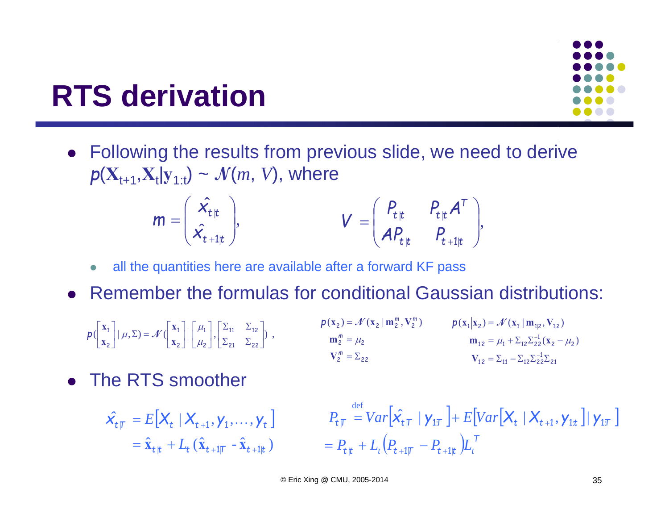# **RTS derivation**

 Following the results from previous slide, we need to derive  $p(X_{t+1}, X_t|_{Y_{t+1}}) \sim \mathcal{N}(m, V)$ , where

$$
\mathbf{m} = \begin{pmatrix} \hat{\mathbf{x}_{t}}_{t} \\ \hat{\mathbf{x}_{t+1}}_{t} \end{pmatrix}, \qquad \qquad \mathbf{V} = \begin{pmatrix} P_{t|t} & P_{t|t} \mathbf{A}^T \\ \mathbf{A} P_{t|t} & P_{t+1|t} \end{pmatrix},
$$

- $\bullet$ all the quantities here are available after a forward KF pass
- Remember the formulas for conditional Gaussian distributions:
	- $p\left(\begin{array}{c} \mathbf{x}_1 \\ \mathbf{x}_2 \end{array} \middle| \middle| \mu, \Sigma\right) = \mathcal{N}\left(\begin{array}{c} \mathbf{x}_1 \\ \mathbf{x}_2 \end{array} \middle| \middle| \middle| \begin{array}{c} \mu_1 \\ \mu_2 \end{array} \middle|, \middle| \begin{array}{c} \Sigma_{11} & \Sigma_{12} \\ \Sigma_{21} & \Sigma_{22} \end{array} \middle| \right)$ 21 $V_{1|2} = \sum_{11} -\sum_{12} \sum_{22}^{-1} \sum_{13}$ 2  $\mu_2$  $_{1|2} = \mu_1 + \Sigma_{12} \Sigma_{22}^{-1}$  $1 \binom{14}{2}$   $\binom{1}{1} \binom{11}{12}$ ,  $\binom{1}{2}$  $=$   $\mu_1 + \sum_{12} \sum_{22}^{-1} (X_2 -$ Ξ Ξ  $| 2 \rangle$   $| 1 \rangle$  $({\bf x}_2 - \mu_2)$  $({\bf x}_1 | {\bf x}_2) = \mathcal{N} ({\bf x}_1 | {\bf m}_{12}, {\bf V}_{12})$  $\mathbf{m}_{12} = \mu_1 + \Sigma_{12} \Sigma_{22} (\mathbf{X})$  $X_1|X_2$  =  $\mathcal{N}(X_1|m_{12}, V)$  $\mu_1 + \frac{2}{12} \frac{2}{22} (X_2 - \mu_1)$  $p(\mathbf{x}_1|\mathbf{x}_2) = \mathcal{N}$  $V_2^m = \Sigma_{22}$  $2 - \mu_2$  $27 - 37$  ( $\text{A}_{2}$  |  $\text{m}_{2}$  ,  $\text{v}_{2}$ Ξ  $=$ *m*  $p(\mathbf{x}_2) = \mathcal{N}(\mathbf{x}_2 \mid \mathbf{m}_2^m, \mathbf{V}_2^m)$ **m**  $(\mathbf{x}_2) = \mathcal{N}(\mathbf{x}_2 \mid \mathbf{m}_2^{\mathrm{m}}, \mathbf{V})$  $\mu_i$  $(\mathbf{x}_2) = \mathcal{N}(\mathbf{x}_2 | \mathbf{m}_2^m, \mathbf{V}_2^m)$
- The RTS smoother

$$
\hat{\mathbf{x}}_{t|T} = E\big[\mathbf{X}_t \mid \mathbf{X}_{t+1}, \mathbf{y}_1, \dots, \mathbf{y}_t\big]
$$

$$
= \hat{\mathbf{x}}_{t|t} + L_t (\hat{\mathbf{x}}_{t+1|T} - \hat{\mathbf{x}}_{t+1|t})
$$

$$
\dots, \mathbf{y}_t \big] \qquad P_{t\mathcal{T}} = Var\big[\hat{\mathbf{x}}_{t\mathcal{T}} | \mathbf{y}_{1\mathcal{T}}\big] + E\big[Var\big[\mathbf{X}_t | \mathbf{X}_{t+1}, \mathbf{y}_{1t}\big] | \mathbf{y}_{1\mathcal{T}}\big]
$$

$$
= P_{t\mathcal{T}} + L_t\big(P_{t+1\mathcal{T}} - P_{t+1\mathcal{T}}\big)L_t^{\mathcal{T}}
$$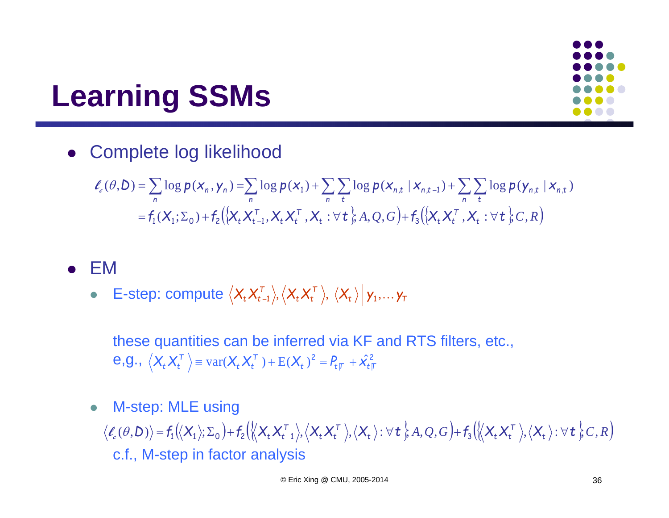### **Learning SSMs**

Complete log likelihood

$$
\ell_c(\theta, D) = \sum_n \log p(\mathbf{x}_n, \mathbf{y}_n) = \sum_n \log p(\mathbf{x}_1) + \sum_n \sum_t \log p(\mathbf{x}_{n,t} | \mathbf{x}_{n,t-1}) + \sum_n \sum_t \log p(\mathbf{y}_{n,t} | \mathbf{x}_{n,t})
$$
  
=  $f_1(\mathbf{X}_1; \Sigma_0) + f_2(\{\mathbf{X}_t \mathbf{X}_{t-1}^T, \mathbf{X}_t \mathbf{X}_t^T, \mathbf{X}_t : \forall \mathbf{t} \}, A, Q, G) + f_3(\{\mathbf{X}_t \mathbf{X}_t^T, \mathbf{X}_t : \forall \mathbf{t} \}, C, R)$ 

### $\bullet$ EM

 $\bullet$  $\bullet$  E-step: compute  $\langle X_{t} X_{t-1}^{\prime} \rangle, \langle X_{t} X_{t}^{\prime} \rangle, \, \langle X_{t} \rangle \, \vert \, \gamma_{1}, ... \, \gamma_{T}$  $\boldsymbol{\chi}_t^{\mathsf{T}} \boldsymbol{\mathsf{X}}_t^{\mathsf{T}}$  $\langle X_t X_{t-1}^\top \rangle, \langle X_t X_t^\top \rangle, \ \langle X_t \rangle \, \big| \, \mathsf{y}_1, \ldots \mathsf{y}_t$ 

these quantities can be inferred via KF and RTS filters, etc.,  $\mathbf{e}$ , $\mathbf{g}$ .,  $\langle \mathbf{X}_{t} \mathbf{X}_{t}^{\top} \rangle$  = var $(\mathbf{X}_{t} \mathbf{X}_{t}^{\top})$  +  $E(\mathbf{X}_{t})^{2}$  =  $P_{t}$  +  $\hat{\mathbf{X}}_{t}^{2}$  $t$  *t*  $t$ <sup> $\tau$ </sup>  $t$ <sup> $\tau$ </sup>  $t$  $\tau$  $\boldsymbol{\chi}_t^{\mathsf{T}} \boldsymbol{\mathsf{X}}_t^{\mathsf{T}}$  $\langle X_t X_t^{\mathsf{T}} \rangle$  =  $\text{var}(X_t X_t^{\mathsf{T}})$  +  $\text{E}(X_t)^2$  =  $P_{t\mathsf{T}}$  +  $\hat{X}_t^2$ 

 $\bullet$ M-step: MLE using

c.f., M-step in factor analysis  $\langle \ell_e(\theta, D) \rangle = f_1(\langle X_1 \rangle; \Sigma_0) + f_2(\langle \langle X_t X_{t-1}^{\top} \rangle, \langle X_t X_t^{\top} \rangle, \langle X_t \rangle : \forall t \rangle, A, Q, G) + f_3(\langle \langle X_t X_t^{\top} \rangle, \langle X_t \rangle : \forall t \rangle, C, R)$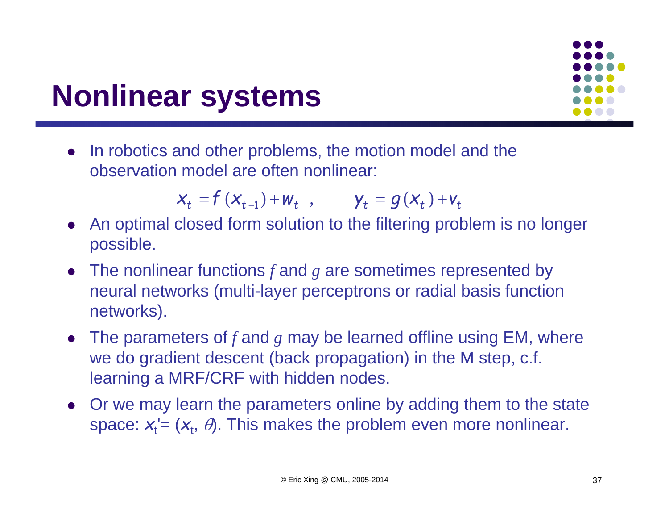### **Nonlinear systems**

0 In robotics and other problems, the motion model and the observation model are often nonlinear:

 $x_t = f(x_{t-1}) + w_t$ ,  $y_t = g(x_t) + v_t$ 

- An optimal closed form solution to the filtering problem is no longer possible.
- The nonlinear functions  $f$  and  $g$  are sometimes represented by neural networks (multi-layer perceptrons or radial basis function networks).
- The parameters of  $f$  and  $g$  may be learned offline using EM, where we do gradient descent (back propagation) in the M step, c.f. learning a MRF/CRF with hidden nodes.
- Or we may learn the parameters online by adding them to the state space:  $\boldsymbol{\mathsf{x}}_{{\text{t}}}^\prime$  =  $(\boldsymbol{\mathsf{x}}_{{\text{t}}} ,\ \theta)$ . This makes the problem even more nonlinear.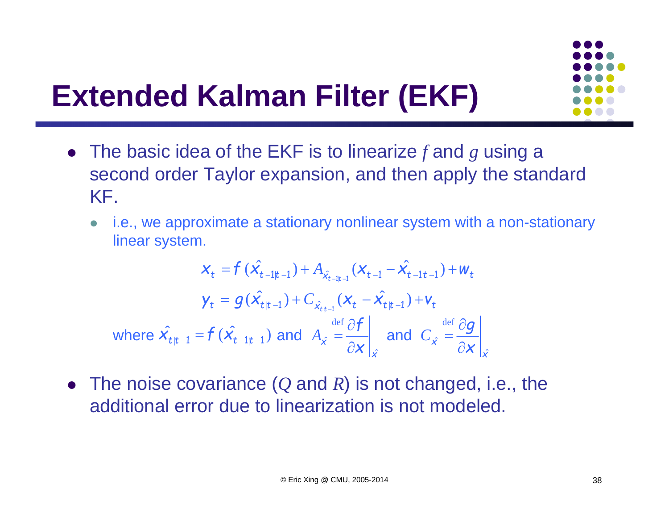

# **Extended Kalman Filter (EKF)**

- The basic idea of the EKF is to linearize *f* and *<sup>g</sup>* using a second order Taylor expansion, and then apply the standard KF.
	- $\bullet$  i.e., we approximate a stationary nonlinear system with a non-stationary linear system.

$$
x_{t} = f(\hat{x}_{t-1|t-1}) + A_{\hat{x}_{t-1|t-1}}(x_{t-1} - \hat{x}_{t-1|t-1}) + w_{t}
$$
\n
$$
y_{t} = g(\hat{x}_{t|t-1}) + C_{\hat{x}_{t|t-1}}(x_{t} - \hat{x}_{t|t-1}) + v_{t}
$$
\nwhere  $\hat{x}_{t|t-1} = f(\hat{x}_{t-1|t-1})$  and  $A_{\hat{x}} = \frac{\partial f}{\partial x}\bigg|_{\hat{x}}$  and  $C_{\hat{x}} = \frac{\partial g}{\partial x}\bigg|_{\hat{x}}$ 

 The noise covariance ( *Q* and *<sup>R</sup>*) is not changed, i.e., the additional error due to linearization is not modeled.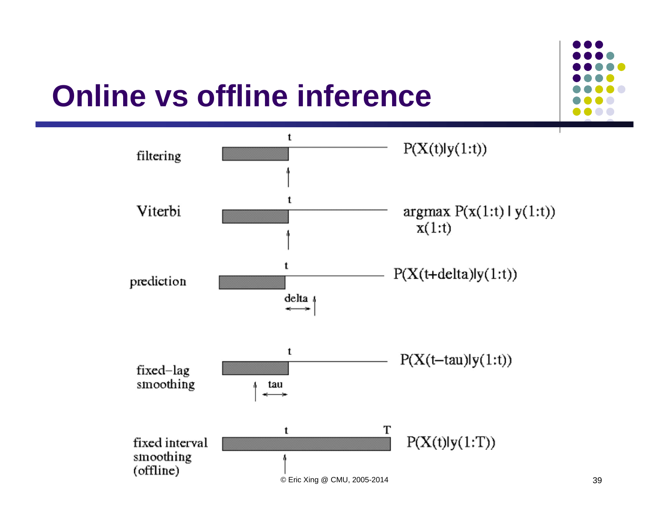# **Online vs offline inference**